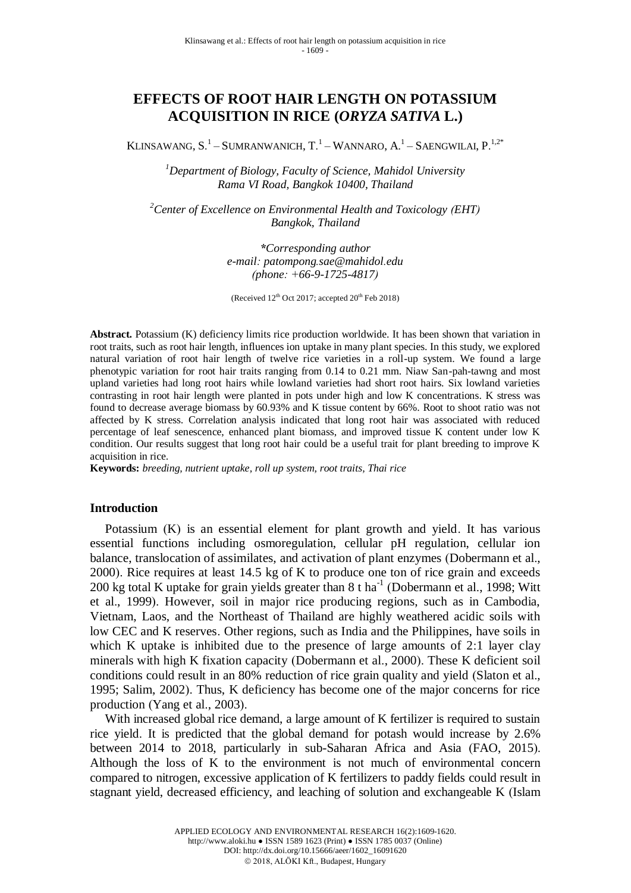# **EFFECTS OF ROOT HAIR LENGTH ON POTASSIUM ACQUISITION IN RICE (***ORYZA SATIVA* **L.)**

KLINSAWANG, S.<sup>1</sup> – SUMRANWANICH, T.<sup>1</sup> – WANNARO, A.<sup>1</sup> – SAENGWILAI, P.<sup>1,2\*</sup>

*<sup>1</sup>Department of Biology, Faculty of Science, Mahidol University Rama VI Road, Bangkok 10400, Thailand*

*<sup>2</sup>Center of Excellence on Environmental Health and Toxicology (EHT) Bangkok, Thailand*

> *\*Corresponding author e-mail: patompong.sae@mahidol.edu (phone: +66-9-1725-4817)*

(Received  $12^{th}$  Oct 2017; accepted  $20^{th}$  Feb 2018)

**Abstract.** Potassium (K) deficiency limits rice production worldwide. It has been shown that variation in root traits, such as root hair length, influences ion uptake in many plant species. In this study, we explored natural variation of root hair length of twelve rice varieties in a roll-up system. We found a large phenotypic variation for root hair traits ranging from 0.14 to 0.21 mm. Niaw San-pah-tawng and most upland varieties had long root hairs while lowland varieties had short root hairs. Six lowland varieties contrasting in root hair length were planted in pots under high and low K concentrations. K stress was found to decrease average biomass by 60.93% and K tissue content by 66%. Root to shoot ratio was not affected by K stress. Correlation analysis indicated that long root hair was associated with reduced percentage of leaf senescence, enhanced plant biomass, and improved tissue K content under low K condition. Our results suggest that long root hair could be a useful trait for plant breeding to improve K acquisition in rice.

**Keywords:** *breeding, nutrient uptake, roll up system, root traits, Thai rice*

#### **Introduction**

Potassium (K) is an essential element for plant growth and yield. It has various essential functions including osmoregulation, cellular pH regulation, cellular ion balance, translocation of assimilates, and activation of plant enzymes (Dobermann et al., 2000). Rice requires at least 14.5 kg of K to produce one ton of rice grain and exceeds 200 kg total K uptake for grain yields greater than  $8$  t ha<sup>-1</sup> (Dobermann et al., 1998; Witt et al., 1999). However, soil in major rice producing regions, such as in Cambodia, Vietnam, Laos, and the Northeast of Thailand are highly weathered acidic soils with low CEC and K reserves. Other regions, such as India and the Philippines, have soils in which K uptake is inhibited due to the presence of large amounts of 2:1 layer clay minerals with high K fixation capacity (Dobermann et al., 2000). These K deficient soil conditions could result in an 80% reduction of rice grain quality and yield (Slaton et al., 1995; Salim, 2002). Thus, K deficiency has become one of the major concerns for rice production (Yang et al., 2003).

With increased global rice demand, a large amount of K fertilizer is required to sustain rice yield. It is predicted that the global demand for potash would increase by 2.6% between 2014 to 2018, particularly in sub-Saharan Africa and Asia (FAO, 2015). Although the loss of K to the environment is not much of environmental concern compared to nitrogen, excessive application of K fertilizers to paddy fields could result in stagnant yield, decreased efficiency, and leaching of solution and exchangeable K (Islam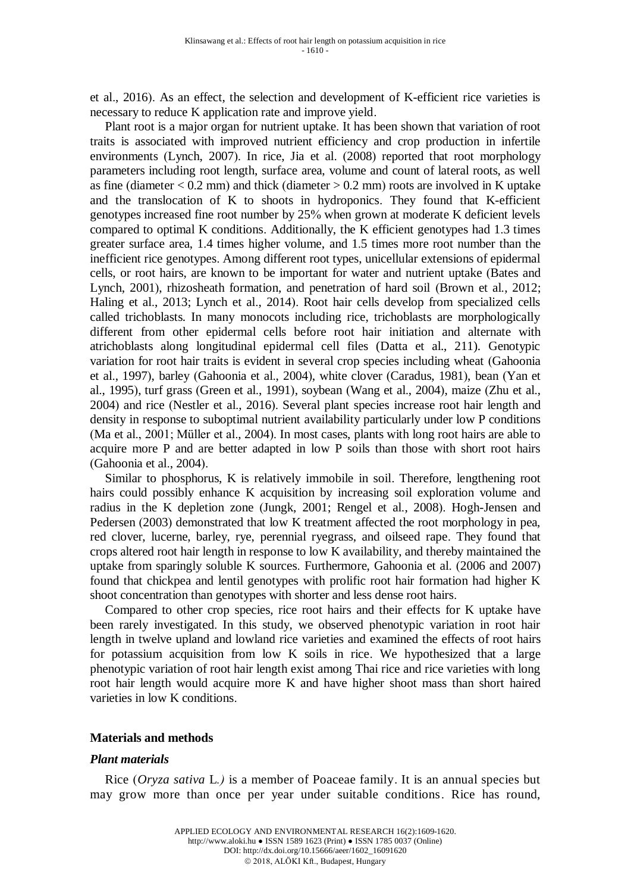et al., 2016). As an effect, the selection and development of K-efficient rice varieties is necessary to reduce K application rate and improve yield.

Plant root is a major organ for nutrient uptake. It has been shown that variation of root traits is associated with improved nutrient efficiency and crop production in infertile environments (Lynch, 2007). In rice, Jia et al. (2008) reported that root morphology parameters including root length, surface area, volume and count of lateral roots, as well as fine (diameter  $< 0.2$  mm) and thick (diameter  $> 0.2$  mm) roots are involved in K uptake and the translocation of K to shoots in hydroponics. They found that K-efficient genotypes increased fine root number by 25% when grown at moderate K deficient levels compared to optimal K conditions. Additionally, the K efficient genotypes had 1.3 times greater surface area, 1.4 times higher volume, and 1.5 times more root number than the inefficient rice genotypes. Among different root types, unicellular extensions of epidermal cells, or root hairs, are known to be important for water and nutrient uptake (Bates and Lynch, 2001), rhizosheath formation, and penetration of hard soil (Brown et al., 2012; Haling et al., 2013; Lynch et al., 2014). Root hair cells develop from specialized cells called trichoblasts. In many monocots including rice, trichoblasts are morphologically different from other epidermal cells before root hair initiation and alternate with atrichoblasts along longitudinal epidermal cell files (Datta et al., 211). Genotypic variation for root hair traits is evident in several crop species including wheat (Gahoonia et al., 1997), barley (Gahoonia et al., 2004), white clover (Caradus, 1981), bean (Yan et al., 1995), turf grass (Green et al., 1991), soybean (Wang et al., 2004), maize (Zhu et al., 2004) and rice (Nestler et al., 2016). Several plant species increase root hair length and density in response to suboptimal nutrient availability particularly under low P conditions (Ma et al., 2001; Müller et al., 2004). In most cases, plants with long root hairs are able to acquire more P and are better adapted in low P soils than those with short root hairs (Gahoonia et al., 2004).

Similar to phosphorus, K is relatively immobile in soil. Therefore, lengthening root hairs could possibly enhance K acquisition by increasing soil exploration volume and radius in the K depletion zone (Jungk, 2001; Rengel et al., 2008). Hogh-Jensen and Pedersen (2003) demonstrated that low K treatment affected the root morphology in pea, red clover, lucerne, barley, rye, perennial ryegrass, and oilseed rape. They found that crops altered root hair length in response to low K availability, and thereby maintained the uptake from sparingly soluble K sources. Furthermore, Gahoonia et al. (2006 and 2007) found that chickpea and lentil genotypes with prolific root hair formation had higher K shoot concentration than genotypes with shorter and less dense root hairs.

Compared to other crop species, rice root hairs and their effects for K uptake have been rarely investigated. In this study, we observed phenotypic variation in root hair length in twelve upland and lowland rice varieties and examined the effects of root hairs for potassium acquisition from low K soils in rice. We hypothesized that a large phenotypic variation of root hair length exist among Thai rice and rice varieties with long root hair length would acquire more K and have higher shoot mass than short haired varieties in low K conditions.

#### **Materials and methods**

#### *Plant materials*

Rice (*Oryza sativa* L*.)* is a member of Poaceae family. It is an annual species but may grow more than once per year under suitable conditions. Rice has round,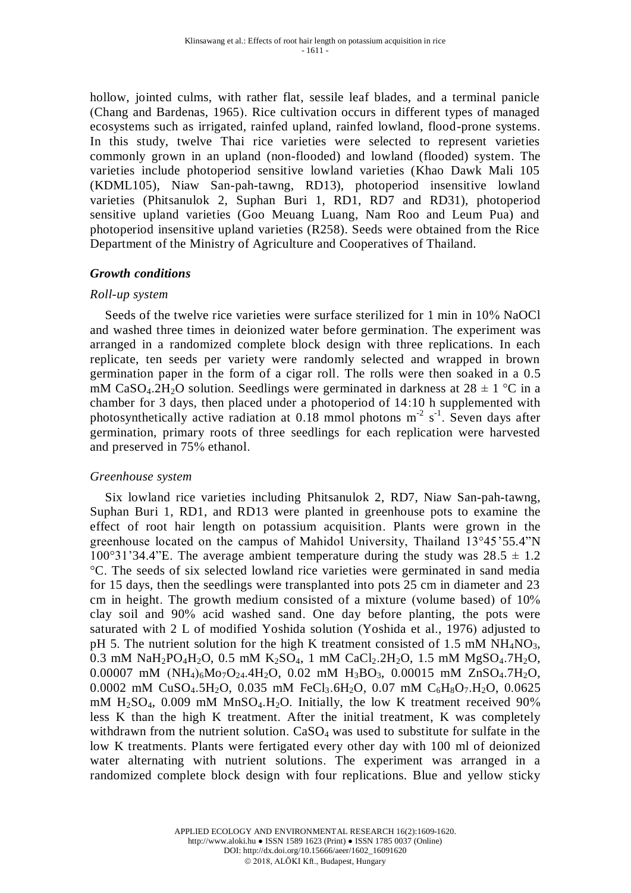hollow, jointed culms, with rather flat, sessile leaf blades, and a terminal panicle (Chang and Bardenas, 1965). Rice cultivation occurs in different types of managed ecosystems such as irrigated, rainfed upland, rainfed lowland, flood-prone systems. In this study, twelve Thai rice varieties were selected to represent varieties commonly grown in an upland (non-flooded) and lowland (flooded) system. The varieties include photoperiod sensitive lowland varieties (Khao Dawk Mali 105 (KDML105), Niaw San-pah-tawng, RD13), photoperiod insensitive lowland varieties (Phitsanulok 2, Suphan Buri 1, RD1, RD7 and RD31), photoperiod sensitive upland varieties (Goo Meuang Luang, Nam Roo and Leum Pua) and photoperiod insensitive upland varieties (R258). Seeds were obtained from the Rice Department of the Ministry of Agriculture and Cooperatives of Thailand.

### *Growth conditions*

### *Roll-up system*

Seeds of the twelve rice varieties were surface sterilized for 1 min in 10% NaOCl and washed three times in deionized water before germination. The experiment was arranged in a randomized complete block design with three replications. In each replicate, ten seeds per variety were randomly selected and wrapped in brown germination paper in the form of a cigar roll. The rolls were then soaked in a 0.5 mM CaSO<sub>4</sub>.2H<sub>2</sub>O solution. Seedlings were germinated in darkness at  $28 \pm 1$  °C in a chamber for 3 days, then placed under a photoperiod of 14:10 h supplemented with photosynthetically active radiation at  $0.18$  mmol photons m<sup>-2</sup> s<sup>-1</sup>. Seven days after germination, primary roots of three seedlings for each replication were harvested and preserved in 75% ethanol.

#### *Greenhouse system*

Six lowland rice varieties including Phitsanulok 2, RD7, Niaw San-pah-tawng, Suphan Buri 1, RD1, and RD13 were planted in greenhouse pots to examine the effect of root hair length on potassium acquisition. Plants were grown in the greenhouse located on the campus of Mahidol University, Thailand 13°45'55.4"N 100°31'34.4"E. The average ambient temperature during the study was  $28.5 \pm 1.2$ °C. The seeds of six selected lowland rice varieties were germinated in sand media for 15 days, then the seedlings were transplanted into pots 25 cm in diameter and 23 cm in height. The growth medium consisted of a mixture (volume based) of 10% clay soil and 90% acid washed sand. One day before planting, the pots were saturated with 2 L of modified Yoshida solution (Yoshida et al., 1976) adjusted to pH 5. The nutrient solution for the high K treatment consisted of 1.5 mM  $NH<sub>4</sub>NO<sub>3</sub>$ , 0.3 mM NaH<sub>2</sub>PO<sub>4</sub>H<sub>2</sub>O, 0.5 mM K<sub>2</sub>SO<sub>4</sub>, 1 mM CaCl<sub>2</sub>.2H<sub>2</sub>O, 1.5 mM MgSO<sub>4</sub>.7H<sub>2</sub>O, 0.00007 mM  $(NH_4)_{6}M_0T_2Q_{24}.4H_2Q$ , 0.02 mM  $H_3BO_3$ , 0.00015 mM  $ZnSO_4.7H_2Q$ , 0.0002 mM CuSO<sub>4</sub>.5H<sub>2</sub>O, 0.035 mM FeCl<sub>3</sub>.6H<sub>2</sub>O, 0.07 mM C<sub>6</sub>H<sub>8</sub>O<sub>7</sub>.H<sub>2</sub>O, 0.0625 mM  $H<sub>2</sub>SO<sub>4</sub>$ , 0.009 mM  $MnSO<sub>4</sub>$ . H<sub>2</sub>O. Initially, the low K treatment received 90% less K than the high K treatment. After the initial treatment, K was completely withdrawn from the nutrient solution.  $CaSO<sub>4</sub>$  was used to substitute for sulfate in the low K treatments. Plants were fertigated every other day with 100 ml of deionized water alternating with nutrient solutions. The experiment was arranged in a randomized complete block design with four replications. Blue and yellow sticky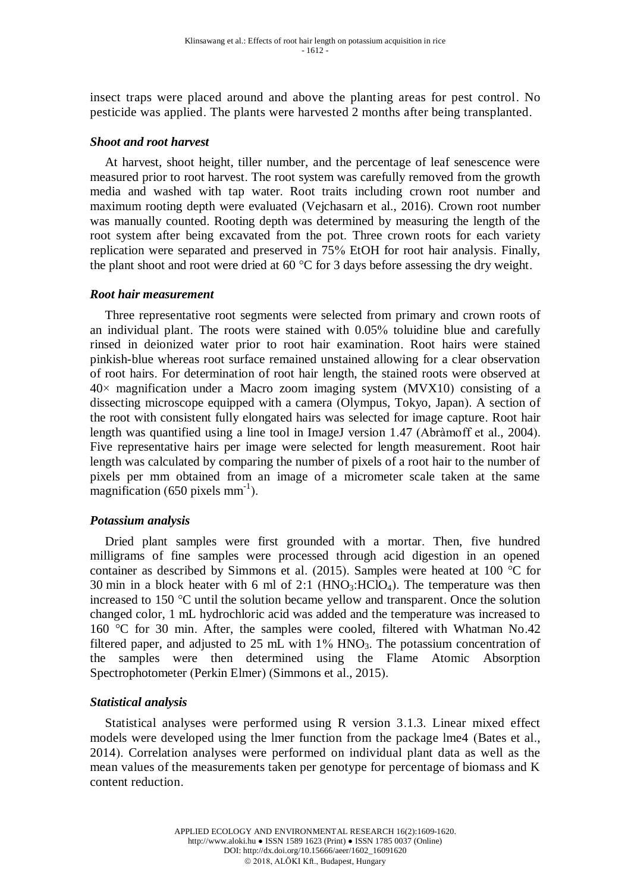insect traps were placed around and above the planting areas for pest control. No pesticide was applied. The plants were harvested 2 months after being transplanted.

### *Shoot and root harvest*

At harvest, shoot height, tiller number, and the percentage of leaf senescence were measured prior to root harvest. The root system was carefully removed from the growth media and washed with tap water. Root traits including crown root number and maximum rooting depth were evaluated (Vejchasarn et al., 2016). Crown root number was manually counted. Rooting depth was determined by measuring the length of the root system after being excavated from the pot. Three crown roots for each variety replication were separated and preserved in 75% EtOH for root hair analysis. Finally, the plant shoot and root were dried at 60 °C for 3 days before assessing the dry weight.

### *Root hair measurement*

Three representative root segments were selected from primary and crown roots of an individual plant. The roots were stained with 0.05% toluidine blue and carefully rinsed in deionized water prior to root hair examination. Root hairs were stained pinkish-blue whereas root surface remained unstained allowing for a clear observation of root hairs. For determination of root hair length, the stained roots were observed at  $40\times$  magnification under a Macro zoom imaging system (MVX10) consisting of a dissecting microscope equipped with a camera (Olympus, Tokyo, Japan). A section of the root with consistent fully elongated hairs was selected for image capture. Root hair length was quantified using a line tool in ImageJ version 1.47 (Abràmoff et al., 2004). Five representative hairs per image were selected for length measurement. Root hair length was calculated by comparing the number of pixels of a root hair to the number of pixels per mm obtained from an image of a micrometer scale taken at the same magnification (650 pixels  $mm^{-1}$ ).

### *Potassium analysis*

Dried plant samples were first grounded with a mortar. Then, five hundred milligrams of fine samples were processed through acid digestion in an opened container as described by Simmons et al. (2015). Samples were heated at 100 °C for 30 min in a block heater with 6 ml of 2:1  $(HNO<sub>3</sub>:HClO<sub>4</sub>)$ . The temperature was then increased to 150 °C until the solution became yellow and transparent. Once the solution changed color, 1 mL hydrochloric acid was added and the temperature was increased to 160 °C for 30 min. After, the samples were cooled, filtered with Whatman No.42 filtered paper, and adjusted to 25 mL with  $1\%$  HNO<sub>3</sub>. The potassium concentration of the samples were then determined using the Flame Atomic Absorption Spectrophotometer (Perkin Elmer) (Simmons et al., 2015).

### *Statistical analysis*

Statistical analyses were performed using R version 3.1.3. Linear mixed effect models were developed using the lmer function from the package lme4 (Bates et al., 2014). Correlation analyses were performed on individual plant data as well as the mean values of the measurements taken per genotype for percentage of biomass and K content reduction.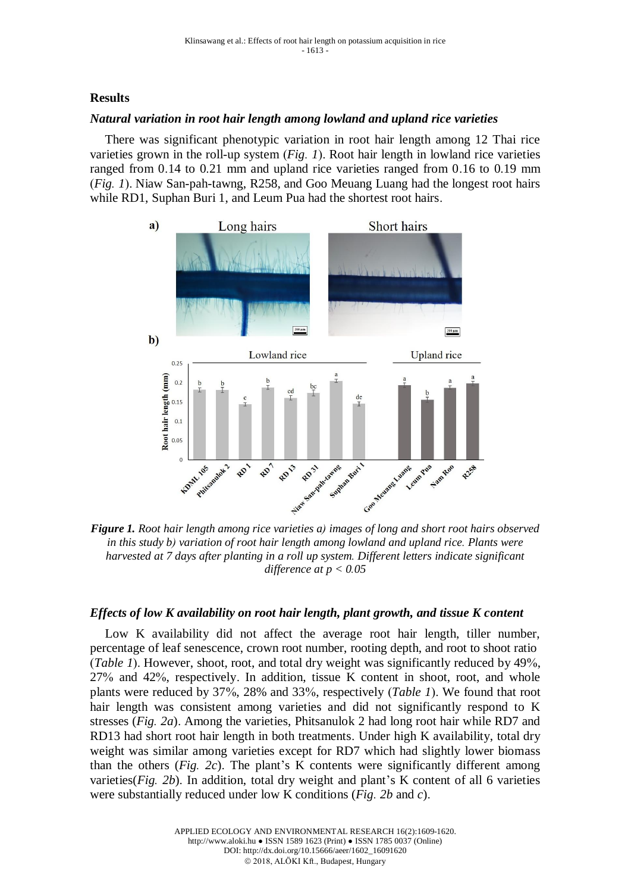## **Results**

### *Natural variation in root hair length among lowland and upland rice varieties*

There was significant phenotypic variation in root hair length among 12 Thai rice varieties grown in the roll-up system (*Fig. 1*). Root hair length in lowland rice varieties ranged from 0.14 to 0.21 mm and upland rice varieties ranged from 0.16 to 0.19 mm (*Fig. 1*). Niaw San-pah-tawng, R258, and Goo Meuang Luang had the longest root hairs while RD1, Suphan Buri 1, and Leum Pua had the shortest root hairs.



*Figure 1. Root hair length among rice varieties a) images of long and short root hairs observed in this study b) variation of root hair length among lowland and upland rice. Plants were harvested at 7 days after planting in a roll up system. Different letters indicate significant difference at p < 0.05*

### *Effects of low K availability on root hair length, plant growth, and tissue K content*

Low K availability did not affect the average root hair length, tiller number, percentage of leaf senescence, crown root number, rooting depth, and root to shoot ratio (*Table 1*). However, shoot, root, and total dry weight was significantly reduced by 49%, 27% and 42%, respectively. In addition, tissue K content in shoot, root, and whole plants were reduced by 37%, 28% and 33%, respectively (*Table 1*). We found that root hair length was consistent among varieties and did not significantly respond to K stresses (*Fig. 2a*). Among the varieties, Phitsanulok 2 had long root hair while RD7 and RD13 had short root hair length in both treatments. Under high K availability, total dry weight was similar among varieties except for RD7 which had slightly lower biomass than the others (*Fig. 2c*). The plant's K contents were significantly different among varieties(*Fig. 2b*). In addition, total dry weight and plant's K content of all 6 varieties were substantially reduced under low K conditions (*Fig. 2b* and *c*).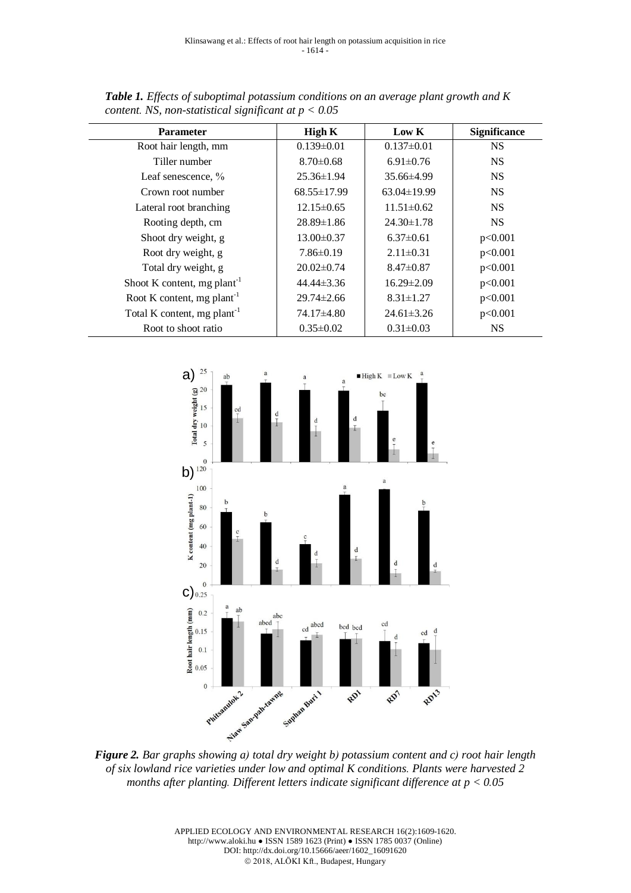| <b>Parameter</b>                        | <b>High K</b>    | Low K            | <b>Significance</b> |
|-----------------------------------------|------------------|------------------|---------------------|
| Root hair length, mm                    | $0.139 \pm 0.01$ | $0.137 \pm 0.01$ | <b>NS</b>           |
| Tiller number                           | $8.70 \pm 0.68$  | $6.91 \pm 0.76$  | <b>NS</b>           |
| Leaf senescence, %                      | $25.36 \pm 1.94$ | $35.66\pm4.99$   | <b>NS</b>           |
| Crown root number                       | 68.55±17.99      | 63.04±19.99      | <b>NS</b>           |
| Lateral root branching                  | $12.15 \pm 0.65$ | $11.51 \pm 0.62$ | <b>NS</b>           |
| Rooting depth, cm                       | $28.89 \pm 1.86$ | $24.30 \pm 1.78$ | <b>NS</b>           |
| Shoot dry weight, g                     | $13.00 \pm 0.37$ | $6.37\pm0.61$    | p<0.001             |
| Root dry weight, g                      | $7.86 \pm 0.19$  | $2.11 \pm 0.31$  | p<0.001             |
| Total dry weight, g                     | $20.02 \pm 0.74$ | $8.47 \pm 0.87$  | p<0.001             |
| Shoot K content, mg plant <sup>-1</sup> | $44.44\pm3.36$   | $16.29 \pm 2.09$ | p<0.001             |
| Root K content, mg plant <sup>-1</sup>  | $29.74 \pm 2.66$ | $8.31 \pm 1.27$  | p<0.001             |
| Total K content, mg plant <sup>-1</sup> | 74.17±4.80       | $24.61 \pm 3.26$ | p<0.001             |
| Root to shoot ratio                     | $0.35 \pm 0.02$  | $0.31 \pm 0.03$  | <b>NS</b>           |

*Table 1. Effects of suboptimal potassium conditions on an average plant growth and K content. NS, non-statistical significant at p < 0.05*



*of six lowland rice varieties under low and optimal K conditions. Plants were harvested 2 months after planting. Different letters indicate significant difference at p < 0.05*

APPLIED ECOLOGY AND ENVIRONMENTAL RESEARCH 16(2):1609-1620. http://www.aloki.hu ● ISSN 1589 1623 (Print) ● ISSN 1785 0037 (Online) DOI: http://dx.doi.org/10.15666/aeer/1602\_16091620 2018, ALÖKI Kft., Budapest, Hungary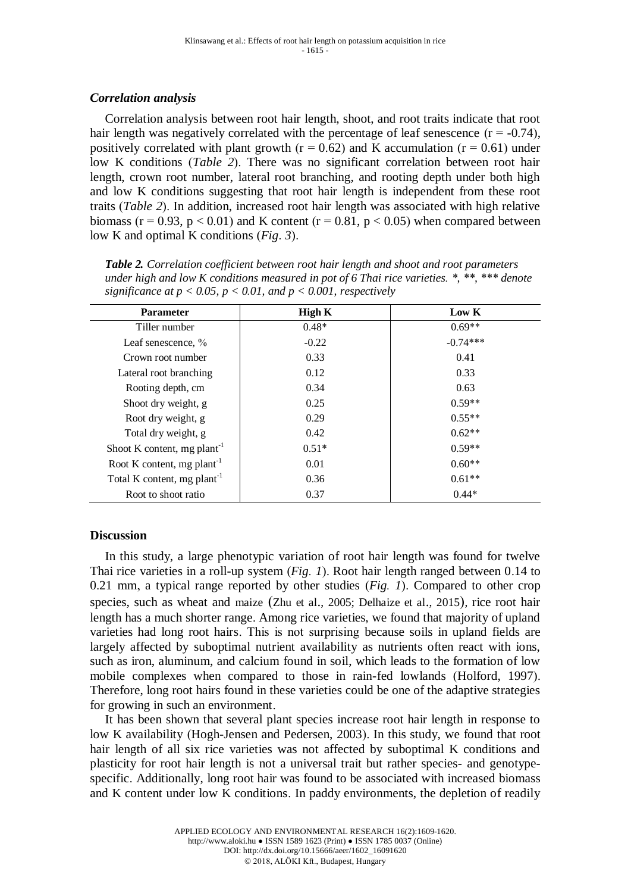### *Correlation analysis*

Correlation analysis between root hair length, shoot, and root traits indicate that root hair length was negatively correlated with the percentage of leaf senescence  $(r = -0.74)$ , positively correlated with plant growth ( $r = 0.62$ ) and K accumulation ( $r = 0.61$ ) under low K conditions (*Table 2*). There was no significant correlation between root hair length, crown root number, lateral root branching, and rooting depth under both high and low K conditions suggesting that root hair length is independent from these root traits (*Table 2*). In addition, increased root hair length was associated with high relative biomass ( $r = 0.93$ ,  $p < 0.01$ ) and K content ( $r = 0.81$ ,  $p < 0.05$ ) when compared between low K and optimal K conditions (*Fig*. *3*).

| <b>Parameter</b>                        | High K  | Low K      |  |
|-----------------------------------------|---------|------------|--|
| Tiller number                           | $0.48*$ | $0.69**$   |  |
| Leaf senescence, %                      | $-0.22$ | $-0.74***$ |  |
| Crown root number                       | 0.33    | 0.41       |  |
| Lateral root branching                  | 0.12    | 0.33       |  |
| Rooting depth, cm                       | 0.34    | 0.63       |  |
| Shoot dry weight, g                     | 0.25    | $0.59**$   |  |
| Root dry weight, g                      | 0.29    | $0.55**$   |  |
| Total dry weight, g                     | 0.42    | $0.62**$   |  |
| Shoot K content, mg plant <sup>-1</sup> | $0.51*$ | $0.59**$   |  |
| Root K content, mg plant <sup>-1</sup>  | 0.01    | $0.60**$   |  |
| Total K content, mg plant <sup>-1</sup> | 0.36    | $0.61**$   |  |
| Root to shoot ratio                     | 0.37    | $0.44*$    |  |

*Table 2. Correlation coefficient between root hair length and shoot and root parameters under high and low K conditions measured in pot of 6 Thai rice varieties. \*, \*\*, \*\*\* denote significance at p*  $\lt$  0.05, *p*  $\lt$  0.01, and *p*  $\lt$  0.001, respectively

### **Discussion**

In this study, a large phenotypic variation of root hair length was found for twelve Thai rice varieties in a roll-up system (*Fig. 1*). Root hair length ranged between 0.14 to 0.21 mm, a typical range reported by other studies (*Fig. 1*). Compared to other crop species, such as wheat and maize (Zhu et al., 2005; Delhaize et al., 2015), rice root hair length has a much shorter range. Among rice varieties, we found that majority of upland varieties had long root hairs. This is not surprising because soils in upland fields are largely affected by suboptimal nutrient availability as nutrients often react with ions, such as iron, aluminum, and calcium found in soil, which leads to the formation of low mobile complexes when compared to those in rain-fed lowlands (Holford, 1997). Therefore, long root hairs found in these varieties could be one of the adaptive strategies for growing in such an environment.

It has been shown that several plant species increase root hair length in response to low K availability (Hogh-Jensen and Pedersen, 2003). In this study, we found that root hair length of all six rice varieties was not affected by suboptimal K conditions and plasticity for root hair length is not a universal trait but rather species- and genotypespecific. Additionally, long root hair was found to be associated with increased biomass and K content under low K conditions. In paddy environments, the depletion of readily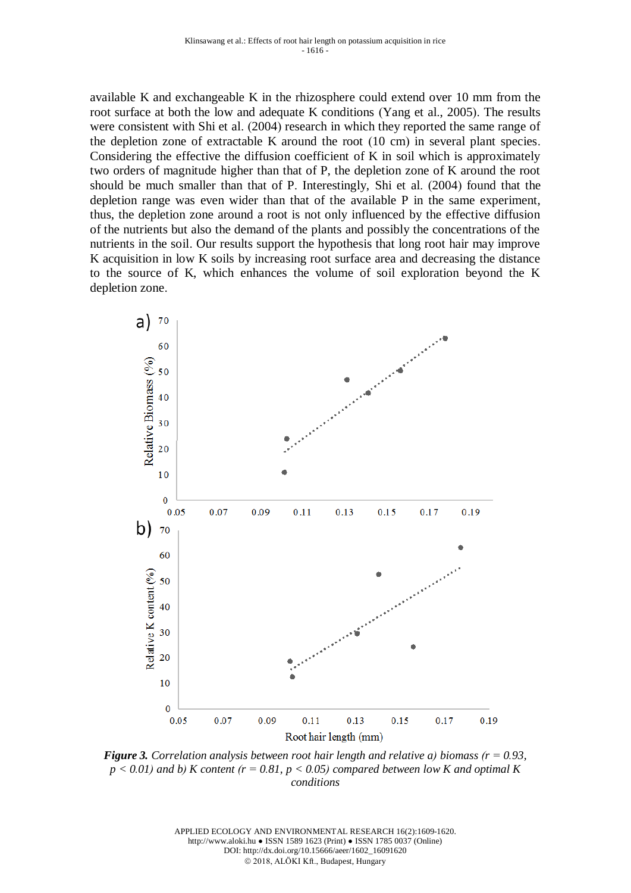available K and exchangeable K in the rhizosphere could extend over 10 mm from the root surface at both the low and adequate K conditions (Yang et al., 2005). The results were consistent with Shi et al. (2004) research in which they reported the same range of the depletion zone of extractable K around the root (10 cm) in several plant species. Considering the effective the diffusion coefficient of K in soil which is approximately two orders of magnitude higher than that of P, the depletion zone of K around the root should be much smaller than that of P. Interestingly, Shi et al. (2004) found that the depletion range was even wider than that of the available P in the same experiment, thus, the depletion zone around a root is not only influenced by the effective diffusion of the nutrients but also the demand of the plants and possibly the concentrations of the nutrients in the soil. Our results support the hypothesis that long root hair may improve K acquisition in low K soils by increasing root surface area and decreasing the distance to the source of K, which enhances the volume of soil exploration beyond the K depletion zone.



*Figure 3. Correlation analysis between root hair length and relative a) biomass (r = 0.93,*   $p < 0.01$ ) and b) K content ( $r = 0.81$ ,  $p < 0.05$ ) compared between low K and optimal K *conditions*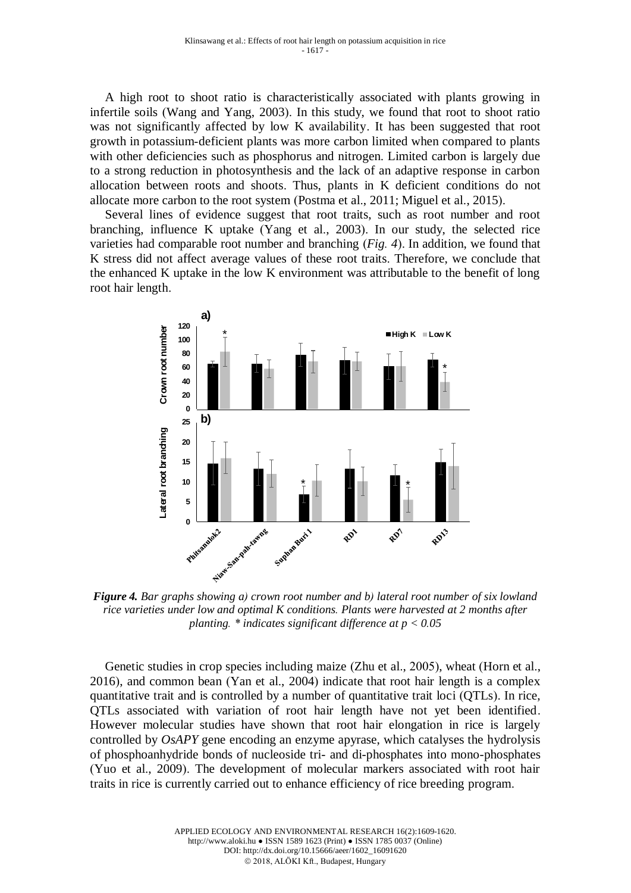A high root to shoot ratio is characteristically associated with plants growing in infertile soils (Wang and Yang, 2003). In this study, we found that root to shoot ratio was not significantly affected by low K availability. It has been suggested that root growth in potassium-deficient plants was more carbon limited when compared to plants with other deficiencies such as phosphorus and nitrogen. Limited carbon is largely due to a strong reduction in photosynthesis and the lack of an adaptive response in carbon allocation between roots and shoots. Thus, plants in K deficient conditions do not allocate more carbon to the root system (Postma et al., 2011; Miguel et al., 2015).

Several lines of evidence suggest that root traits, such as root number and root branching, influence K uptake (Yang et al., 2003). In our study, the selected rice varieties had comparable root number and branching (*Fig. 4*). In addition, we found that K stress did not affect average values of these root traits. Therefore, we conclude that the enhanced K uptake in the low K environment was attributable to the benefit of long root hair length.



*Figure 4. Bar graphs showing a) crown root number and b) lateral root number of six lowland rice varieties under low and optimal K conditions. Plants were harvested at 2 months after planting. \* indicates significant difference at p < 0.05*

Genetic studies in crop species including maize (Zhu et al., 2005), wheat (Horn et al., 2016), and common bean (Yan et al., 2004) indicate that root hair length is a complex quantitative trait and is controlled by a number of quantitative trait loci (QTLs). In rice, QTLs associated with variation of root hair length have not yet been identified. However molecular studies have shown that root hair elongation in rice is largely controlled by *OsAPY* gene encoding an enzyme apyrase, which catalyses the hydrolysis of phosphoanhydride bonds of nucleoside tri- and di-phosphates into mono-phosphates (Yuo et al., 2009). The development of molecular markers associated with root hair traits in rice is currently carried out to enhance efficiency of rice breeding program.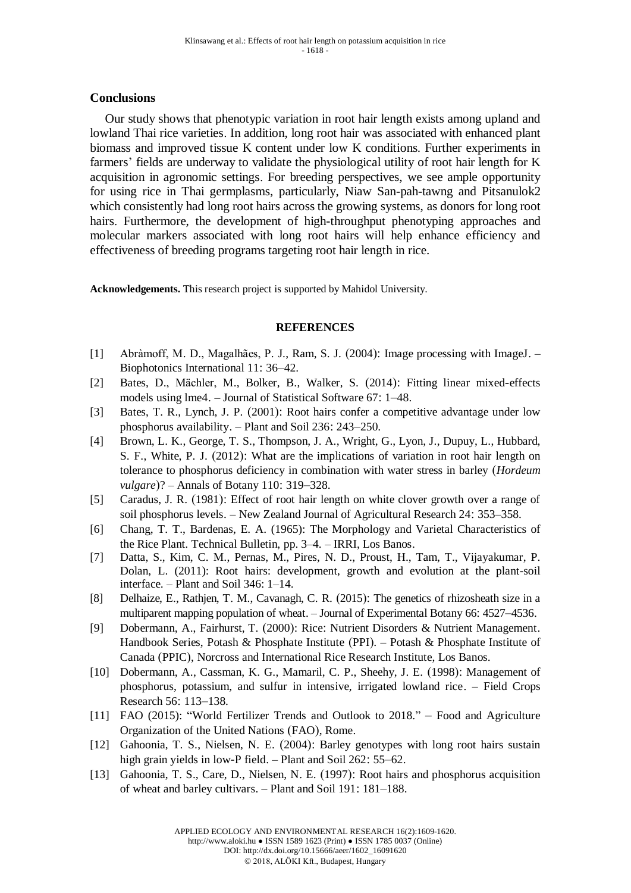#### **Conclusions**

Our study shows that phenotypic variation in root hair length exists among upland and lowland Thai rice varieties. In addition, long root hair was associated with enhanced plant biomass and improved tissue K content under low K conditions. Further experiments in farmers' fields are underway to validate the physiological utility of root hair length for K acquisition in agronomic settings. For breeding perspectives, we see ample opportunity for using rice in Thai germplasms, particularly, Niaw San-pah-tawng and Pitsanulok2 which consistently had long root hairs across the growing systems, as donors for long root hairs. Furthermore, the development of high-throughput phenotyping approaches and molecular markers associated with long root hairs will help enhance efficiency and effectiveness of breeding programs targeting root hair length in rice.

**Acknowledgements.** This research project is supported by Mahidol University.

#### **REFERENCES**

- [1] Abràmoff, M. D., Magalhães, P. J., Ram, S. J. (2004): Image processing with ImageJ. Biophotonics International 11: 36–42.
- [2] Bates, D., Mächler, M., Bolker, B., Walker, S. (2014): Fitting linear mixed-effects models using lme4. – Journal of Statistical Software 67: 1–48.
- [3] Bates, T. R., Lynch, J. P. (2001): Root hairs confer a competitive advantage under low phosphorus availability. – Plant and Soil 236: 243–250.
- [4] Brown, L. K., George, T. S., Thompson, J. A., Wright, G., Lyon, J., Dupuy, L., Hubbard, S. F., White, P. J. (2012): What are the implications of variation in root hair length on tolerance to phosphorus deficiency in combination with water stress in barley (*Hordeum vulgare*)? – Annals of Botany 110: 319–328.
- [5] Caradus, J. R. (1981): Effect of root hair length on white clover growth over a range of soil phosphorus levels. – New Zealand Journal of Agricultural Research 24: 353–358.
- [6] Chang, T. T., Bardenas, E. A. (1965): The Morphology and Varietal Characteristics of the Rice Plant. Technical Bulletin, pp. 3–4. – IRRI, Los Banos.
- [7] Datta, S., Kim, C. M., Pernas, M., Pires, N. D., Proust, H., Tam, T., Vijayakumar, P. Dolan, L. (2011): Root hairs: development, growth and evolution at the plant-soil interface. – Plant and Soil 346: 1–14.
- [8] Delhaize, E., Rathjen, T. M., Cavanagh, C. R. (2015): The genetics of rhizosheath size in a multiparent mapping population of wheat. – Journal of Experimental Botany 66: 4527–4536.
- [9] Dobermann, A., Fairhurst, T. (2000): Rice: Nutrient Disorders & Nutrient Management. Handbook Series, Potash & Phosphate Institute (PPI). – Potash & Phosphate Institute of Canada (PPIC), Norcross and International Rice Research Institute, Los Banos.
- [10] Dobermann, A., Cassman, K. G., Mamaril, C. P., Sheehy, J. E. (1998): Management of phosphorus, potassium, and sulfur in intensive, irrigated lowland rice. – Field Crops Research 56: 113–138.
- [11] FAO (2015): "World Fertilizer Trends and Outlook to 2018." Food and Agriculture Organization of the United Nations (FAO), Rome.
- [12] Gahoonia, T. S., Nielsen, N. E. (2004): Barley genotypes with long root hairs sustain high grain yields in low-P field. – Plant and Soil 262: 55–62.
- [13] Gahoonia, T. S., Care, D., Nielsen, N. E. (1997): Root hairs and phosphorus acquisition of wheat and barley cultivars. – Plant and Soil 191: 181–188.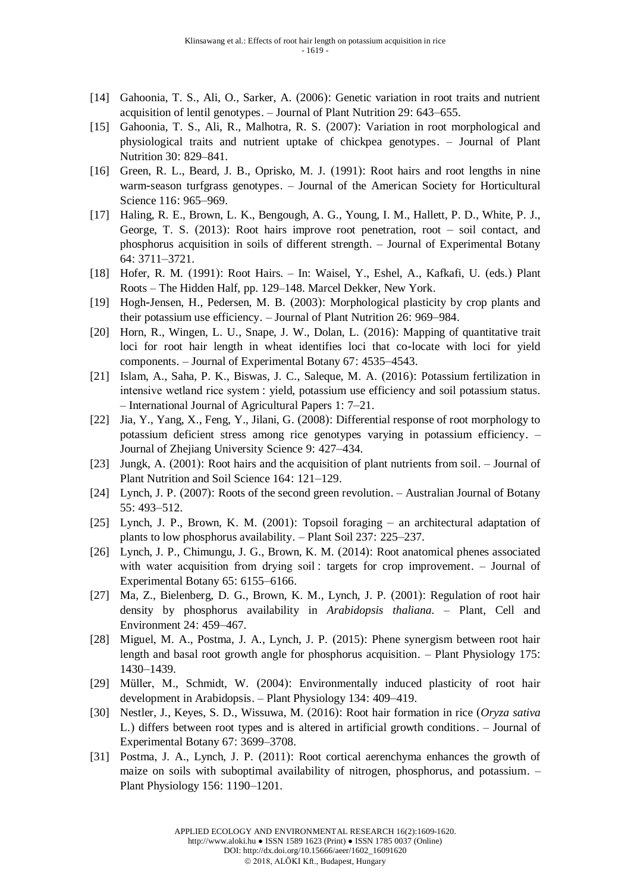- [14] Gahoonia, T. S., Ali, O., Sarker, A. (2006): Genetic variation in root traits and nutrient acquisition of lentil genotypes. – Journal of Plant Nutrition 29: 643–655.
- [15] Gahoonia, T. S., Ali, R., Malhotra, R. S. (2007): Variation in root morphological and physiological traits and nutrient uptake of chickpea genotypes. – Journal of Plant Nutrition 30: 829–841.
- [16] Green, R. L., Beard, J. B., Oprisko, M. J. (1991): Root hairs and root lengths in nine warm-season turfgrass genotypes. – Journal of the American Society for Horticultural Science 116: 965–969.
- [17] Haling, R. E., Brown, L. K., Bengough, A. G., Young, I. M., Hallett, P. D., White, P. J., George, T. S. (2013): Root hairs improve root penetration, root – soil contact, and phosphorus acquisition in soils of different strength. – Journal of Experimental Botany 64: 3711–3721.
- [18] Hofer, R. M. (1991): Root Hairs. In: Waisel, Y., Eshel, A., Kafkafi, U. (eds.) Plant Roots – The Hidden Half, pp. 129–148. Marcel Dekker, New York.
- [19] Hogh-Jensen, H., Pedersen, M. B. (2003): Morphological plasticity by crop plants and their potassium use efficiency. – Journal of Plant Nutrition 26: 969–984.
- [20] Horn, R., Wingen, L. U., Snape, J. W., Dolan, L. (2016): Mapping of quantitative trait loci for root hair length in wheat identifies loci that co-locate with loci for yield components. – Journal of Experimental Botany 67: 4535–4543.
- [21] Islam, A., Saha, P. K., Biswas, J. C., Saleque, M. A. (2016): Potassium fertilization in intensive wetland rice system : yield, potassium use efficiency and soil potassium status. – International Journal of Agricultural Papers 1: 7–21.
- [22] Jia, Y., Yang, X., Feng, Y., Jilani, G. (2008): Differential response of root morphology to potassium deficient stress among rice genotypes varying in potassium efficiency. – Journal of Zhejiang University Science 9: 427–434.
- [23] Jungk, A. (2001): Root hairs and the acquisition of plant nutrients from soil. Journal of Plant Nutrition and Soil Science 164: 121–129.
- [24] Lynch, J. P. (2007): Roots of the second green revolution. Australian Journal of Botany 55: 493–512.
- [25] Lynch, J. P., Brown, K. M. (2001): Topsoil foraging an architectural adaptation of plants to low phosphorus availability. – Plant Soil 237: 225–237.
- [26] Lynch, J. P., Chimungu, J. G., Brown, K. M. (2014): Root anatomical phenes associated with water acquisition from drying soil : targets for crop improvement. – Journal of Experimental Botany 65: 6155–6166.
- [27] Ma, Z., Bielenberg, D. G., Brown, K. M., Lynch, J. P. (2001): Regulation of root hair density by phosphorus availability in *Arabidopsis thaliana*. – Plant, Cell and Environment 24: 459–467.
- [28] Miguel, M. A., Postma, J. A., Lynch, J. P. (2015): Phene synergism between root hair length and basal root growth angle for phosphorus acquisition. – Plant Physiology 175: 1430–1439.
- [29] Müller, M., Schmidt, W. (2004): Environmentally induced plasticity of root hair development in Arabidopsis. – Plant Physiology 134: 409–419.
- [30] Nestler, J., Keyes, S. D., Wissuwa, M. (2016): Root hair formation in rice (*Oryza sativa* L.) differs between root types and is altered in artificial growth conditions. – Journal of Experimental Botany 67: 3699–3708.
- [31] Postma, J. A., Lynch, J. P. (2011): Root cortical aerenchyma enhances the growth of maize on soils with suboptimal availability of nitrogen, phosphorus, and potassium. – Plant Physiology 156: 1190–1201.